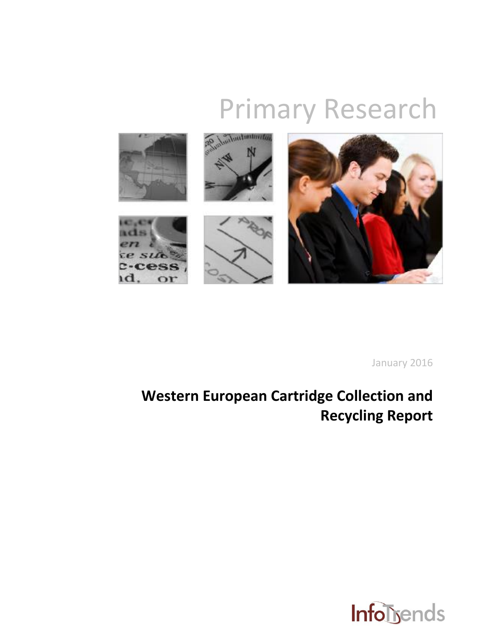# Primary Research



January 2016

# **Western European Cartridge Collection and Recycling Report**

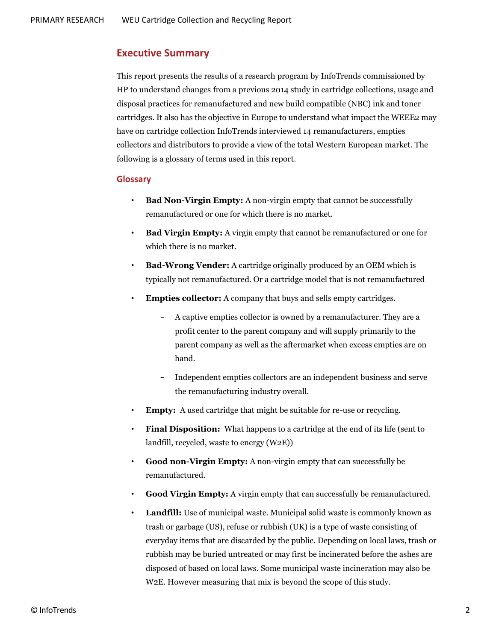## **Executive Summary**

This report presents the results of a research program by InfoTrends commissioned by HP to understand changes from a previous 2014 study in cartridge collections, usage and disposal practices for remanufactured and new build compatible (NBC) ink and toner cartridges. It also has the objective in Europe to understand what impact the WEEE2 may have on cartridge collection InfoTrends interviewed 14 remanufacturers, empties collectors and distributors to provide a view of the total Western European market. The following is a glossary of terms used in this report.

#### **Glossary**

- **Bad Non-Virgin Empty:** A non-virgin empty that cannot be successfully remanufactured or one for which there is no market.
- **Bad Virgin Empty:** A virgin empty that cannot be remanufactured or one for which there is no market.
- **Bad-Wrong Vender:** A cartridge originally produced by an OEM which is typically not remanufactured. Or a cartridge model that is not remanufactured
- **Empties collector:** A company that buys and sells empty cartridges.
	- − A captive empties collector is owned by a remanufacturer. They are a profit center to the parent company and will supply primarily to the parent company as well as the aftermarket when excess empties are on hand.
	- − Independent empties collectors are an independent business and serve the remanufacturing industry overall.
- **Empty:** A used cartridge that might be suitable for re-use or recycling.
- **Final Disposition:** What happens to a cartridge at the end of its life (sent to landfill, recycled, waste to energy (W2E))
- **Good non-Virgin Empty:** A non-virgin empty that can successfully be remanufactured.
- **Good Virgin Empty:** A virgin empty that can successfully be remanufactured.
- **Landfill:** Use of municipal waste. Municipal solid waste is commonly known as trash or garbage (US), refuse or rubbish (UK) is a type of waste consisting of everyday items that are discarded by the public. Depending on local laws, trash or rubbish may be buried untreated or may first be incinerated before the ashes are disposed of based on local laws. Some municipal waste incineration may also be W2E. However measuring that mix is beyond the scope of this study.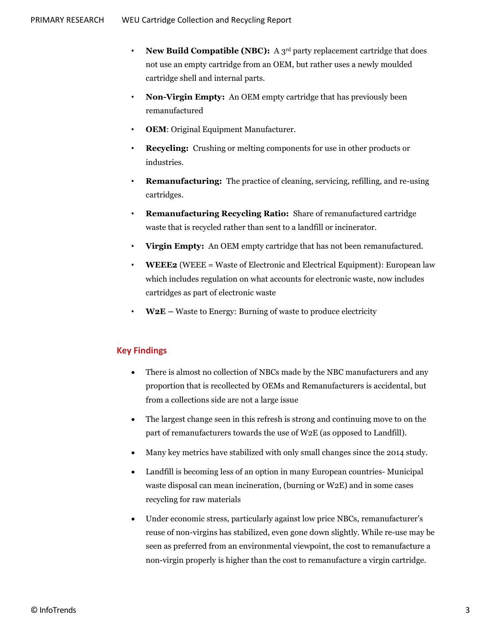- **New Build Compatible (NBC):** A 3<sup>rd</sup> party replacement cartridge that does not use an empty cartridge from an OEM, but rather uses a newly moulded cartridge shell and internal parts.
- **Non-Virgin Empty:** An OEM empty cartridge that has previously been remanufactured
- **OEM**: Original Equipment Manufacturer.
- **Recycling:** Crushing or melting components for use in other products or industries.
- **Remanufacturing:** The practice of cleaning, servicing, refilling, and re-using cartridges.
- **Remanufacturing Recycling Ratio:** Share of remanufactured cartridge waste that is recycled rather than sent to a landfill or incinerator.
- **Virgin Empty:** An OEM empty cartridge that has not been remanufactured.
- **WEEE2** (WEEE = Waste of Electronic and Electrical Equipment): European law which includes regulation on what accounts for electronic waste, now includes cartridges as part of electronic waste
- **W2E –** Waste to Energy: Burning of waste to produce electricity

## **Key Findings**

- There is almost no collection of NBCs made by the NBC manufacturers and any proportion that is recollected by OEMs and Remanufacturers is accidental, but from a collections side are not a large issue
- The largest change seen in this refresh is strong and continuing move to on the part of remanufacturers towards the use of W2E (as opposed to Landfill).
- Many key metrics have stabilized with only small changes since the 2014 study.
- Landfill is becoming less of an option in many European countries- Municipal waste disposal can mean incineration, (burning or W2E) and in some cases recycling for raw materials
- Under economic stress, particularly against low price NBCs, remanufacturer's reuse of non-virgins has stabilized, even gone down slightly. While re-use may be seen as preferred from an environmental viewpoint, the cost to remanufacture a non-virgin properly is higher than the cost to remanufacture a virgin cartridge.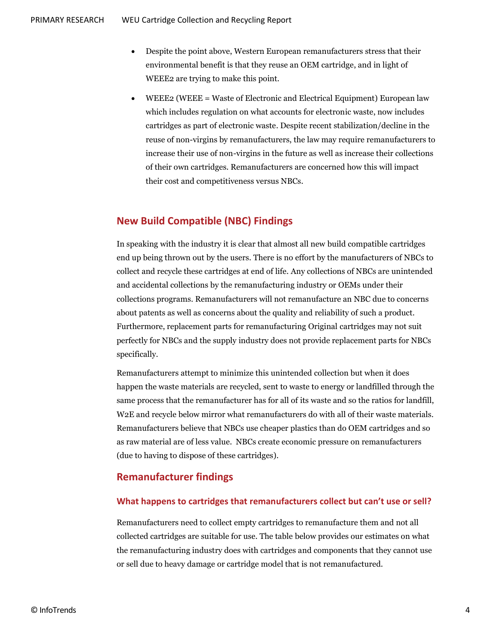- Despite the point above, Western European remanufacturers stress that their environmental benefit is that they reuse an OEM cartridge, and in light of WEEE2 are trying to make this point.
- WEEE2 (WEEE = Waste of Electronic and Electrical Equipment) European law which includes regulation on what accounts for electronic waste, now includes cartridges as part of electronic waste. Despite recent stabilization/decline in the reuse of non-virgins by remanufacturers, the law may require remanufacturers to increase their use of non-virgins in the future as well as increase their collections of their own cartridges. Remanufacturers are concerned how this will impact their cost and competitiveness versus NBCs.

# **New Build Compatible (NBC) Findings**

In speaking with the industry it is clear that almost all new build compatible cartridges end up being thrown out by the users. There is no effort by the manufacturers of NBCs to collect and recycle these cartridges at end of life. Any collections of NBCs are unintended and accidental collections by the remanufacturing industry or OEMs under their collections programs. Remanufacturers will not remanufacture an NBC due to concerns about patents as well as concerns about the quality and reliability of such a product. Furthermore, replacement parts for remanufacturing Original cartridges may not suit perfectly for NBCs and the supply industry does not provide replacement parts for NBCs specifically.

Remanufacturers attempt to minimize this unintended collection but when it does happen the waste materials are recycled, sent to waste to energy or landfilled through the same process that the remanufacturer has for all of its waste and so the ratios for landfill, W2E and recycle below mirror what remanufacturers do with all of their waste materials. Remanufacturers believe that NBCs use cheaper plastics than do OEM cartridges and so as raw material are of less value. NBCs create economic pressure on remanufacturers (due to having to dispose of these cartridges).

# **Remanufacturer findings**

#### **What happens to cartridges that remanufacturers collect but can't use or sell?**

Remanufacturers need to collect empty cartridges to remanufacture them and not all collected cartridges are suitable for use. The table below provides our estimates on what the remanufacturing industry does with cartridges and components that they cannot use or sell due to heavy damage or cartridge model that is not remanufactured.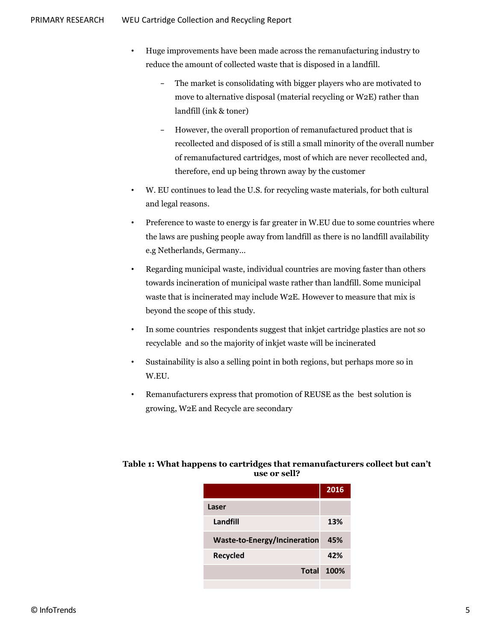- Huge improvements have been made across the remanufacturing industry to reduce the amount of collected waste that is disposed in a landfill.
	- The market is consolidating with bigger players who are motivated to move to alternative disposal (material recycling or W2E) rather than landfill (ink & toner)
	- − However, the overall proportion of remanufactured product that is recollected and disposed of is still a small minority of the overall number of remanufactured cartridges, most of which are never recollected and, therefore, end up being thrown away by the customer
- W. EU continues to lead the U.S. for recycling waste materials, for both cultural and legal reasons.
- Preference to waste to energy is far greater in W.EU due to some countries where the laws are pushing people away from landfill as there is no landfill availability e.g Netherlands, Germany…
- Regarding municipal waste, individual countries are moving faster than others towards incineration of municipal waste rather than landfill. Some municipal waste that is incinerated may include W2E. However to measure that mix is beyond the scope of this study.
- In some countries respondents suggest that inkjet cartridge plastics are not so recyclable and so the majority of inkjet waste will be incinerated
- Sustainability is also a selling point in both regions, but perhaps more so in W.EU.
- Remanufacturers express that promotion of REUSE as the best solution is growing, W2E and Recycle are secondary

#### **Table 1: What happens to cartridges that remanufacturers collect but can't use or sell?**

|                                     | 2016 |
|-------------------------------------|------|
| Laser                               |      |
| Landfill                            | 13%  |
| <b>Waste-to-Energy/Incineration</b> | 45%  |
| Recycled                            | 42%  |
| Total                               | 100% |
|                                     |      |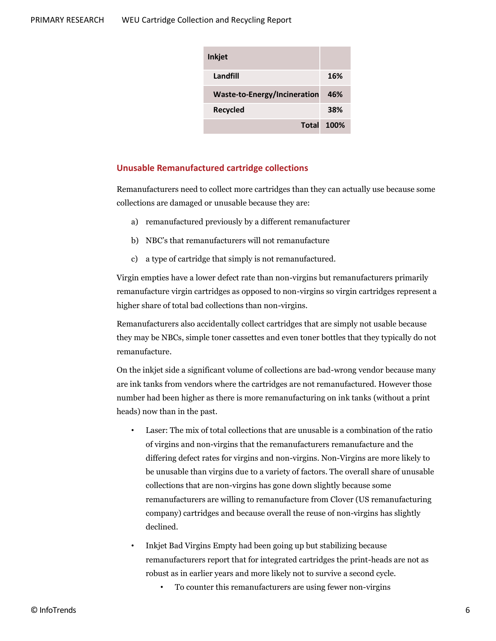| <b>Inkjet</b>                       |      |
|-------------------------------------|------|
| Landfill                            | 16%  |
| <b>Waste-to-Energy/Incineration</b> | 46%  |
| Recycled                            | 38%  |
| Total                               | 100% |

#### **Unusable Remanufactured cartridge collections**

Remanufacturers need to collect more cartridges than they can actually use because some collections are damaged or unusable because they are:

- a) remanufactured previously by a different remanufacturer
- b) NBC's that remanufacturers will not remanufacture
- c) a type of cartridge that simply is not remanufactured.

Virgin empties have a lower defect rate than non-virgins but remanufacturers primarily remanufacture virgin cartridges as opposed to non-virgins so virgin cartridges represent a higher share of total bad collections than non-virgins.

Remanufacturers also accidentally collect cartridges that are simply not usable because they may be NBCs, simple toner cassettes and even toner bottles that they typically do not remanufacture.

On the inkjet side a significant volume of collections are bad-wrong vendor because many are ink tanks from vendors where the cartridges are not remanufactured. However those number had been higher as there is more remanufacturing on ink tanks (without a print heads) now than in the past.

- Laser: The mix of total collections that are unusable is a combination of the ratio of virgins and non-virgins that the remanufacturers remanufacture and the differing defect rates for virgins and non-virgins. Non-Virgins are more likely to be unusable than virgins due to a variety of factors. The overall share of unusable collections that are non-virgins has gone down slightly because some remanufacturers are willing to remanufacture from Clover (US remanufacturing company) cartridges and because overall the reuse of non-virgins has slightly declined.
- Inkjet Bad Virgins Empty had been going up but stabilizing because remanufacturers report that for integrated cartridges the print-heads are not as robust as in earlier years and more likely not to survive a second cycle.
	- To counter this remanufacturers are using fewer non-virgins